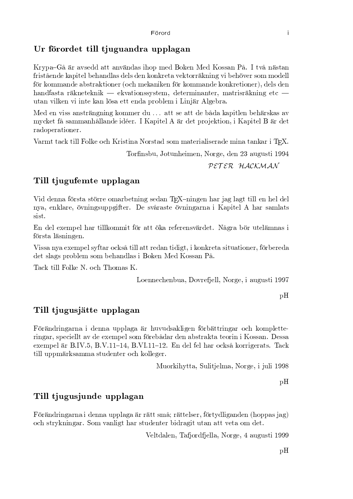#### Ur förordet till tjuguandra upplagan

Krypa-Gå är avsedd att användas ihop med Boken Med Kossan På. I två nästan fristående kapitel behandlas dels den konkreta vektorräkning vi behöver som modell för kommande abstraktioner (och mekaniken för kommande konkretioner), dels den handfasta räkneteknik — ekvationssystem, determinanter, matrisräkning etc utan vilken vi inte kan lösa ett enda problem i Linjär Algebra.

Med en viss ansträngning kommer du ... att se att de båda kapitlen behärskas av mycket få sammanhållande idéer. I Kapitel A är det projektion, i Kapitel B är det radoperationer.

Varmt tack till Folke och Kristina Norstad som materialiserade mina tankar i TFX.

Torfinsbu, Jotunheimen, Norge, den 23 augusti 1994

PETER HACKMAN

#### Till tjugufemte upplagan

Vid denna första större omarbetning sedan TFX-ningen har jag lagt till en hel del nya, enklare, övningsuppgifter. De svåraste övningarna i Kapitel A har samlats sist.

En del exempel har tillkommit för att öka referensvärdet. Några bör utelämnas i första läsningen.

Vissa nya exempel syftar också till att redan tidigt, i konkreta situationer, förbereda det slags problem som behandlas i Boken Med Kossan På.

Tack till Folke N. och Thomas K.

Loennechenbua, Dovrefjell, Norge, i augusti 1997

 $pH$ 

#### Till tjugusjätte upplagan

Förändringarna i denna upplaga är huvudsakligen förbättringar och kompletteringar, speciellt av de exempel som förebådar den abstrakta teorin i Kossan. Dessa exempel är B.IV.5, B.V.11-14, B.VI.11-12. En del fel har också korrigerats. Tack till uppmärksamma studenter och kolleger.

Muorkihytta, Sulitjelma, Norge, i juli 1998

 $pH$ 

#### Till tjugusjunde upplagan

Förändringarna i denna upplaga är rätt små; rättelser, förtydliganden (hoppas jag) och strykningar. Som vanligt har studenter bidragit utan att veta om det.

Veltdalen, Tafjordfjella, Norge, 4 augusti 1999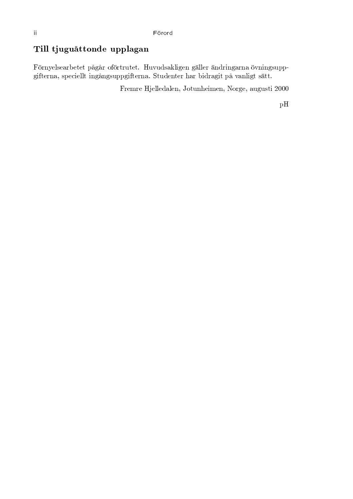#### $\operatorname{Till}$  tiuguåttonde upplagan  $\hspace{0.8cm}$

hgH0F?1H@ ]>A@C3;0^G@ EA@[E2G7;f7;0#LZgH0E,0wE,@ E U²w=wB->3;Pd]\IKfH@ FNf9;]\]K@ 09;FGB0IKF-f3;0FG3+gH=FI\F-f>w2-2-µ $\mathcal{F}_1$  . The set of  $\mathcal{F}_2$  of  $\mathcal{F}_3$  is the fermion fermion fermion for  $\mathcal{F}_4$  . The fermion fermion for  $\mathcal{F}_5$ 

 $\Pi$  it ii ii ii ii ii iii iii iii iii

 $\rm pH$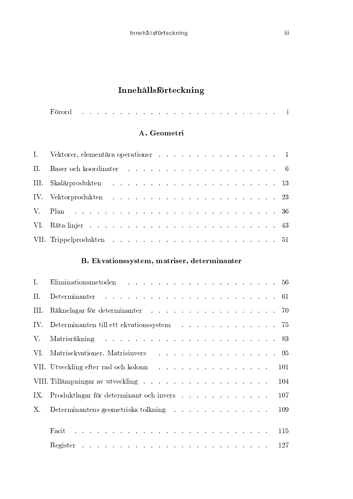# Innehållsförteckning

|--|--|--|

### A. Geometri

| I. Vektorer, elementära operationer and an announce and an announce and an announce and an announce and an announce and an announce and an announce and an announce and an announce and an announce and an announce and an ann |
|--------------------------------------------------------------------------------------------------------------------------------------------------------------------------------------------------------------------------------|
|                                                                                                                                                                                                                                |
| III. Skalärprodukten aan aan aan aan aan aan aan aan aan 13                                                                                                                                                                    |
|                                                                                                                                                                                                                                |
|                                                                                                                                                                                                                                |
|                                                                                                                                                                                                                                |
|                                                                                                                                                                                                                                |

## B. Ekvationssystem, matriser, determinanter

| II.  |                                                                                                                                                                                                                                |  |
|------|--------------------------------------------------------------------------------------------------------------------------------------------------------------------------------------------------------------------------------|--|
| III. | Räknelagar för determinanter andre andre andre andre andre andre andre andre andre andre andre andre andre and                                                                                                                 |  |
|      | IV. Determinanten till ett ekvationssystem 75                                                                                                                                                                                  |  |
|      |                                                                                                                                                                                                                                |  |
|      | VI. Matrisekvationer. Matrisinvers 95                                                                                                                                                                                          |  |
|      | VII. Utveckling efter rad och kolonnation av en används som startet av 101                                                                                                                                                     |  |
|      | VIII. Tillämpningar av utveckling 104                                                                                                                                                                                          |  |
|      | IX. Produktlagar för determinant och invers 107                                                                                                                                                                                |  |
| Х.   | Determinantens geometriska tolkning regional variation och 109                                                                                                                                                                 |  |
|      |                                                                                                                                                                                                                                |  |
|      | Facit de la component de la component de la component de la component de la component de la component de la component de la component de la component de la component de la component de la component de la component de la co |  |
|      |                                                                                                                                                                                                                                |  |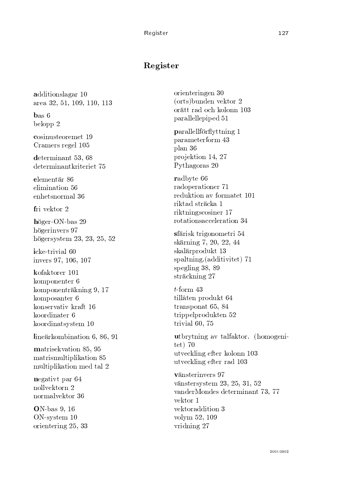#### Register

additionslagar 10 area 32, 51, 109, 110, 113

 $\mathbf{b}$ as 6 belopp 2

cosinusteoremet 19 Cramers regel 105

determinant 53, 68 determinantkriteriet 75

elementär 86 elimination 56 enhetsnormal 36

fri vektor 2

höger-ON-bas 29 högerinvers 97 högersystem 23, 23, 25, 52

icke-trivial 60 invers 97, 106, 107

kofaktorer 101 komponenter 6 komponenträkning 9, 17 komposanter 6 konservativ kraft 16 koordinater 6 koordinatsystem 10

lineärkombination 6, 86, 91

matrisekvation 85, 95 matrismultiplikation 85 multiplikation med tal 2

negativt par 64 nollvektorn 2 normalvektor 36

**ON-bas 9, 16**  $ON$ -system  $10$ orientering 25, 33

orienteringen 30 (orts)bunden vektor 2 orätt rad och kolonn 103 parallellepiped 51

parallellförflyttning 1 parameterform 43 plan 36 projektion 14, 27 Pythagoras 20

radbyte 66 radoperationer 71 reduktion av formatet 101 riktad sträcka 1 riktningscosiner 17 rotationsacceleration 34

sfärisk trigonometri 54 skärning 7, 20, 22, 44 skalärprodukt 13 spaltning.(additivitet) 71 spegling 38, 89 sträckning 27

 $t$ -form 43 tillåten produkt 64 transponat 65, 84 trippelprodukten 52 trivial 60, 75

utbrytning av talfaktor. (homogeni $tet)$  70 utveckling efter kolonn 103 utveckling efter rad 103

vänsterinvers 97 vänstersystem 23, 25, 31, 52 vanderMondes determinant 73, 77 vektor 1 vektoraddition 3 volvm 52, 109 vridning 27